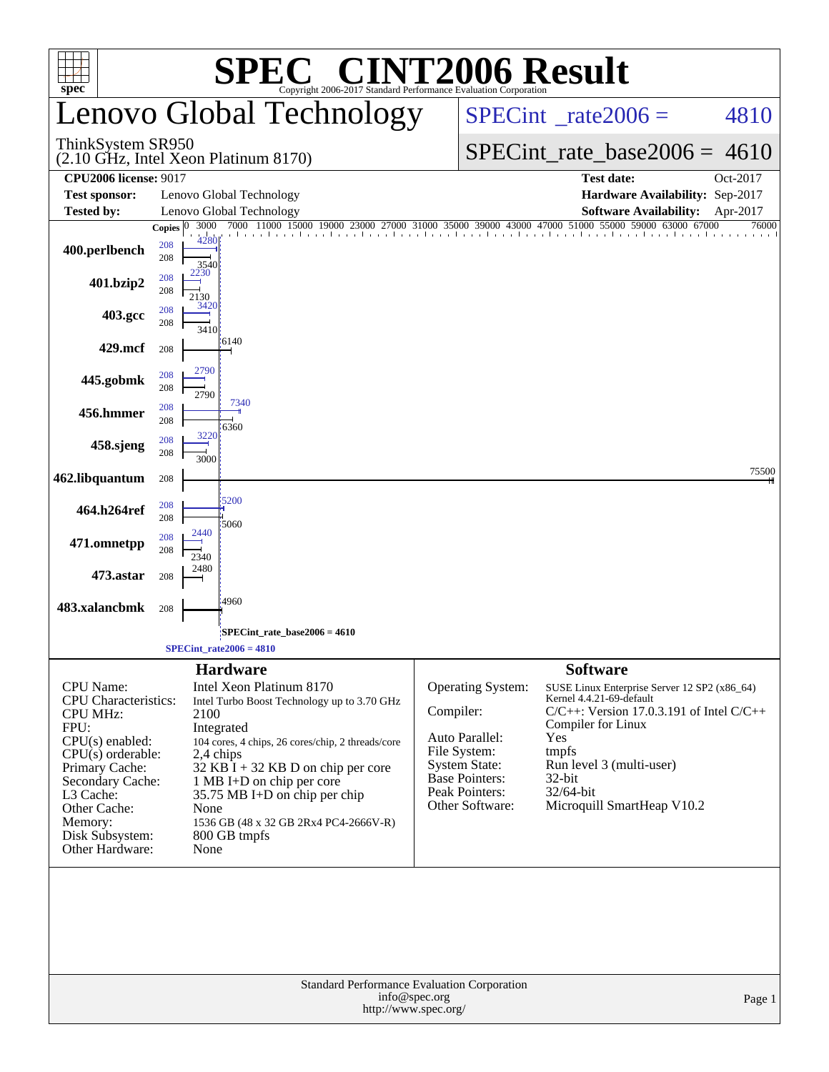| $spec^*$                                                                                                                                                                                                                                   |                                    | <b>C® CINT2006 Result</b><br>SPE<br>Copyright 2006-2017 Standard Performance Evaluation Corporation                                                                                                                                                                                                                                 |                                                                                                                                                        |                                                                                                                                                                                                                                                  |  |  |  |  |  |
|--------------------------------------------------------------------------------------------------------------------------------------------------------------------------------------------------------------------------------------------|------------------------------------|-------------------------------------------------------------------------------------------------------------------------------------------------------------------------------------------------------------------------------------------------------------------------------------------------------------------------------------|--------------------------------------------------------------------------------------------------------------------------------------------------------|--------------------------------------------------------------------------------------------------------------------------------------------------------------------------------------------------------------------------------------------------|--|--|--|--|--|
|                                                                                                                                                                                                                                            |                                    | Lenovo Global Technology                                                                                                                                                                                                                                                                                                            |                                                                                                                                                        | $SPECint^{\circ}$ rate $2006 =$<br>4810                                                                                                                                                                                                          |  |  |  |  |  |
| ThinkSystem SR950                                                                                                                                                                                                                          |                                    | $(2.10 \text{ GHz}, \text{Intel Xeon Platinum } 8170)$                                                                                                                                                                                                                                                                              |                                                                                                                                                        | $SPECint_rate_base2006 = 4610$                                                                                                                                                                                                                   |  |  |  |  |  |
| <b>CPU2006 license: 9017</b>                                                                                                                                                                                                               |                                    |                                                                                                                                                                                                                                                                                                                                     |                                                                                                                                                        | <b>Test date:</b><br>Oct-2017                                                                                                                                                                                                                    |  |  |  |  |  |
| <b>Test sponsor:</b>                                                                                                                                                                                                                       |                                    | Lenovo Global Technology                                                                                                                                                                                                                                                                                                            |                                                                                                                                                        | Hardware Availability: Sep-2017                                                                                                                                                                                                                  |  |  |  |  |  |
| <b>Tested by:</b>                                                                                                                                                                                                                          | 3000<br>Copies $ 0 $               | Lenovo Global Technology<br>7000 11000 15000 19000 23000 27000 31000 35000 39000 43000 47000 51000 55000 59000 63000 67000                                                                                                                                                                                                          |                                                                                                                                                        | <b>Software Availability:</b><br>Apr-2017<br>76000                                                                                                                                                                                               |  |  |  |  |  |
| 400.perlbench                                                                                                                                                                                                                              | 4280<br>208<br>208<br>3540         | the continued concluded to continued a continued to continued a continue                                                                                                                                                                                                                                                            |                                                                                                                                                        |                                                                                                                                                                                                                                                  |  |  |  |  |  |
| 401.bzip2                                                                                                                                                                                                                                  | 2230<br>208<br>208<br>2130<br>3420 |                                                                                                                                                                                                                                                                                                                                     |                                                                                                                                                        |                                                                                                                                                                                                                                                  |  |  |  |  |  |
| 403.gcc                                                                                                                                                                                                                                    | 208<br>208<br>3410                 | $-6140$                                                                                                                                                                                                                                                                                                                             |                                                                                                                                                        |                                                                                                                                                                                                                                                  |  |  |  |  |  |
| 429.mcf                                                                                                                                                                                                                                    | 208                                |                                                                                                                                                                                                                                                                                                                                     |                                                                                                                                                        |                                                                                                                                                                                                                                                  |  |  |  |  |  |
| 445.gobmk                                                                                                                                                                                                                                  | 2790<br>208<br>208<br>2790         |                                                                                                                                                                                                                                                                                                                                     |                                                                                                                                                        |                                                                                                                                                                                                                                                  |  |  |  |  |  |
| 456.hmmer                                                                                                                                                                                                                                  | 208<br>208<br>3220                 | 7340<br>6360                                                                                                                                                                                                                                                                                                                        |                                                                                                                                                        |                                                                                                                                                                                                                                                  |  |  |  |  |  |
| 458.sjeng                                                                                                                                                                                                                                  | 208<br>208<br>3000                 |                                                                                                                                                                                                                                                                                                                                     |                                                                                                                                                        | 75500                                                                                                                                                                                                                                            |  |  |  |  |  |
| 462.libquantum                                                                                                                                                                                                                             | 208                                |                                                                                                                                                                                                                                                                                                                                     |                                                                                                                                                        |                                                                                                                                                                                                                                                  |  |  |  |  |  |
| 464.h264ref                                                                                                                                                                                                                                | 208<br>208                         | 5200<br>5060                                                                                                                                                                                                                                                                                                                        |                                                                                                                                                        |                                                                                                                                                                                                                                                  |  |  |  |  |  |
| 471.omnetpp                                                                                                                                                                                                                                | 2440<br>208<br>208<br>2340         |                                                                                                                                                                                                                                                                                                                                     |                                                                                                                                                        |                                                                                                                                                                                                                                                  |  |  |  |  |  |
| 473.astar                                                                                                                                                                                                                                  | 2480<br>208                        |                                                                                                                                                                                                                                                                                                                                     |                                                                                                                                                        |                                                                                                                                                                                                                                                  |  |  |  |  |  |
| 483.xalancbmk                                                                                                                                                                                                                              | 208                                | 4960                                                                                                                                                                                                                                                                                                                                |                                                                                                                                                        |                                                                                                                                                                                                                                                  |  |  |  |  |  |
|                                                                                                                                                                                                                                            |                                    | SPECint_rate_base2006 = 4610<br>$SPECint_rate2006 = 4810$                                                                                                                                                                                                                                                                           |                                                                                                                                                        |                                                                                                                                                                                                                                                  |  |  |  |  |  |
|                                                                                                                                                                                                                                            |                                    | <b>Hardware</b>                                                                                                                                                                                                                                                                                                                     |                                                                                                                                                        | <b>Software</b>                                                                                                                                                                                                                                  |  |  |  |  |  |
| <b>CPU</b> Name:<br><b>CPU</b> Characteristics:<br><b>CPU MHz:</b><br>FPU:<br>$CPU(s)$ enabled:<br>$CPU(s)$ orderable:<br>Primary Cache:<br>Secondary Cache:<br>L3 Cache:<br>Other Cache:<br>Memory:<br>Disk Subsystem:<br>Other Hardware: | 2100<br>None<br>None               | Intel Xeon Platinum 8170<br>Intel Turbo Boost Technology up to 3.70 GHz<br>Integrated<br>104 cores, 4 chips, 26 cores/chip, 2 threads/core<br>2,4 chips<br>$32$ KB $\overline{I}$ + 32 KB D on chip per core<br>1 MB I+D on chip per core<br>35.75 MB I+D on chip per chip<br>1536 GB (48 x 32 GB 2Rx4 PC4-2666V-R)<br>800 GB tmpfs | Operating System:<br>Compiler:<br>Auto Parallel:<br>File System:<br><b>System State:</b><br><b>Base Pointers:</b><br>Peak Pointers:<br>Other Software: | SUSE Linux Enterprise Server 12 SP2 (x86_64)<br>Kernel 4.4.21-69-default<br>$C/C++$ : Version 17.0.3.191 of Intel $C/C++$<br>Compiler for Linux<br>Yes<br>tmpfs<br>Run level 3 (multi-user)<br>32-bit<br>32/64-bit<br>Microquill SmartHeap V10.2 |  |  |  |  |  |
|                                                                                                                                                                                                                                            |                                    | Standard Performance Evaluation Corporation<br>info@spec.org                                                                                                                                                                                                                                                                        |                                                                                                                                                        | Page 1                                                                                                                                                                                                                                           |  |  |  |  |  |
|                                                                                                                                                                                                                                            |                                    | http://www.spec.org/                                                                                                                                                                                                                                                                                                                |                                                                                                                                                        |                                                                                                                                                                                                                                                  |  |  |  |  |  |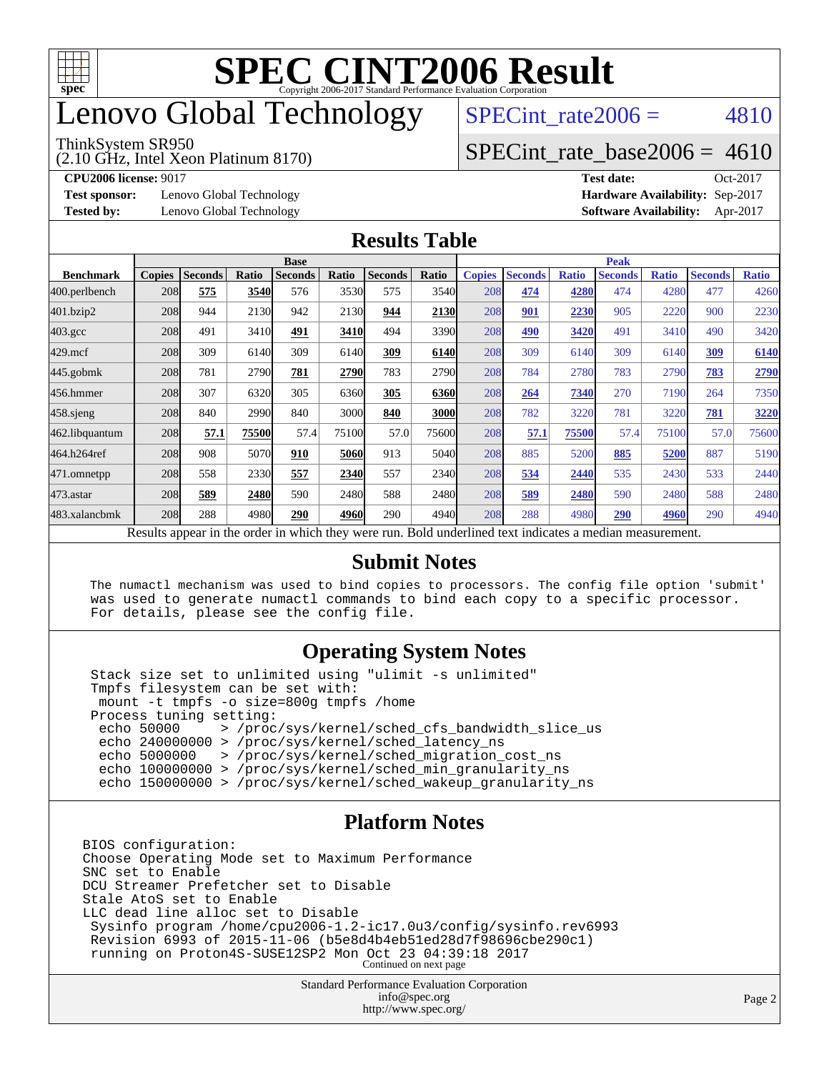

# enovo Global Technology

#### ThinkSystem SR950

(2.10 GHz, Intel Xeon Platinum 8170)

SPECint rate $2006 = 4810$ 

### $SPECTnt_rate_base2006 = 4610$

**[CPU2006 license:](http://www.spec.org/auto/cpu2006/Docs/result-fields.html#CPU2006license)** 9017 **[Test date:](http://www.spec.org/auto/cpu2006/Docs/result-fields.html#Testdate)** Oct-2017

**[Test sponsor:](http://www.spec.org/auto/cpu2006/Docs/result-fields.html#Testsponsor)** Lenovo Global Technology **[Hardware Availability:](http://www.spec.org/auto/cpu2006/Docs/result-fields.html#HardwareAvailability)** Sep-2017

**[Tested by:](http://www.spec.org/auto/cpu2006/Docs/result-fields.html#Testedby)** Lenovo Global Technology **[Software Availability:](http://www.spec.org/auto/cpu2006/Docs/result-fields.html#SoftwareAvailability)** Apr-2017

#### **[Results Table](http://www.spec.org/auto/cpu2006/Docs/result-fields.html#ResultsTable)**

|                                                                                                                          | <b>Base</b>   |                |              |                |       |                | <b>Peak</b> |               |                |              |                |              |                |              |
|--------------------------------------------------------------------------------------------------------------------------|---------------|----------------|--------------|----------------|-------|----------------|-------------|---------------|----------------|--------------|----------------|--------------|----------------|--------------|
| <b>Benchmark</b>                                                                                                         | <b>Copies</b> | <b>Seconds</b> | <b>Ratio</b> | <b>Seconds</b> | Ratio | <b>Seconds</b> | Ratio       | <b>Copies</b> | <b>Seconds</b> | <b>Ratio</b> | <b>Seconds</b> | <b>Ratio</b> | <b>Seconds</b> | <b>Ratio</b> |
| 400.perlbench                                                                                                            | 208           | 575            | 3540         | 576            | 3530  | 575            | 3540        | 208           | 474            | 4280         | 474            | 4280         | 477            | 4260         |
| 401.bzip2                                                                                                                | 208           | 944            | 2130         | 942            | 2130  | 944            | 2130        | 208           | 901            | 2230         | 905            | 2220         | 900            | 2230         |
| $403.\mathrm{gcc}$                                                                                                       | 208           | 491            | 3410         | 491            | 3410  | 494            | 3390        | 208           | 490            | 3420         | 491            | 3410         | 490            | 3420         |
| $429$ .mcf                                                                                                               | 208           | 309            | 6140         | 309            | 6140  | 309            | 6140        | 208           | 309            | 6140         | 309            | 6140         | 309            | 6140         |
| $445$ .gobmk                                                                                                             | 208           | 781            | 2790         | 781            | 2790  | 783            | 2790        | 208           | 784            | 2780         | 783            | 2790         | 783            | 2790         |
| 456.hmmer                                                                                                                | 208           | 307            | 6320         | 305            | 6360  | 305            | 6360        | 208           | 264            | 7340         | 270            | 7190         | 264            | 7350         |
| $458$ .sjeng                                                                                                             | 208           | 840            | 2990         | 840            | 3000  | 840            | 3000        | 208           | 782            | 3220         | 781            | 3220         | 781            | 3220         |
| 462.libquantum                                                                                                           | 208           | 57.1           | 75500        | 57.4           | 75100 | 57.0           | 75600       | 208           | 57.1           | 75500        | 57.4           | 75100        | 57.0           | 75600        |
| 464.h264ref                                                                                                              | 208           | 908            | 5070         | 910            | 5060  | 913            | 5040        | 208           | 885            | 5200         | 885            | 5200         | 887            | 5190         |
| 471.omnetpp                                                                                                              | 208           | 558            | 2330         | 557            | 2340  | 557            | 2340        | 208           | 534            | 2440         | 535            | 2430         | 533            | 2440         |
| $473$ . astar                                                                                                            | 208           | <u>589</u>     | 2480         | 590            | 2480  | 588            | 2480        | 208           | <u>589</u>     | 2480         | 590            | 2480         | 588            | 2480         |
| 483.xalancbmk                                                                                                            | 208           | 288            | 4980         | 290            | 4960  | 290            | 4940        | 208           | 288            | 4980         | 290            | 4960         | 290            | 4940         |
| $\mathbf{D} \cdot \mathbf{I}$<br>1.7.1.41<br>$2.12 - 12.2$<br>2.11<br>$D$ . 1.1 $\cdots$ . 1.1 $\cdots$ . 1.1 $\cdots$ . |               |                |              |                |       |                |             |               |                |              |                |              |                |              |

Results appear in the [order in which they were run.](http://www.spec.org/auto/cpu2006/Docs/result-fields.html#RunOrder) Bold underlined text [indicates a median measurement.](http://www.spec.org/auto/cpu2006/Docs/result-fields.html#Median)

#### **[Submit Notes](http://www.spec.org/auto/cpu2006/Docs/result-fields.html#SubmitNotes)**

 The numactl mechanism was used to bind copies to processors. The config file option 'submit' was used to generate numactl commands to bind each copy to a specific processor. For details, please see the config file.

### **[Operating System Notes](http://www.spec.org/auto/cpu2006/Docs/result-fields.html#OperatingSystemNotes)**

 Stack size set to unlimited using "ulimit -s unlimited" Tmpfs filesystem can be set with: mount -t tmpfs -o size=800g tmpfs /home Process tuning setting:<br>echo 50000 > /proc echo 50000 > /proc/sys/kernel/sched\_cfs\_bandwidth\_slice\_us echo 240000000 > /proc/sys/kernel/sched\_latency\_ns echo 5000000 > /proc/sys/kernel/sched\_migration\_cost\_ns echo 100000000 > /proc/sys/kernel/sched\_min\_granularity\_ns echo 150000000 > /proc/sys/kernel/sched\_wakeup\_granularity\_ns

### **[Platform Notes](http://www.spec.org/auto/cpu2006/Docs/result-fields.html#PlatformNotes)**

BIOS configuration: Choose Operating Mode set to Maximum Performance SNC set to Enable DCU Streamer Prefetcher set to Disable Stale AtoS set to Enable LLC dead line alloc set to Disable Sysinfo program /home/cpu2006-1.2-ic17.0u3/config/sysinfo.rev6993 Revision 6993 of 2015-11-06 (b5e8d4b4eb51ed28d7f98696cbe290c1) running on Proton4S-SUSE12SP2 Mon Oct 23 04:39:18 2017 Continued on next page

> Standard Performance Evaluation Corporation [info@spec.org](mailto:info@spec.org) <http://www.spec.org/>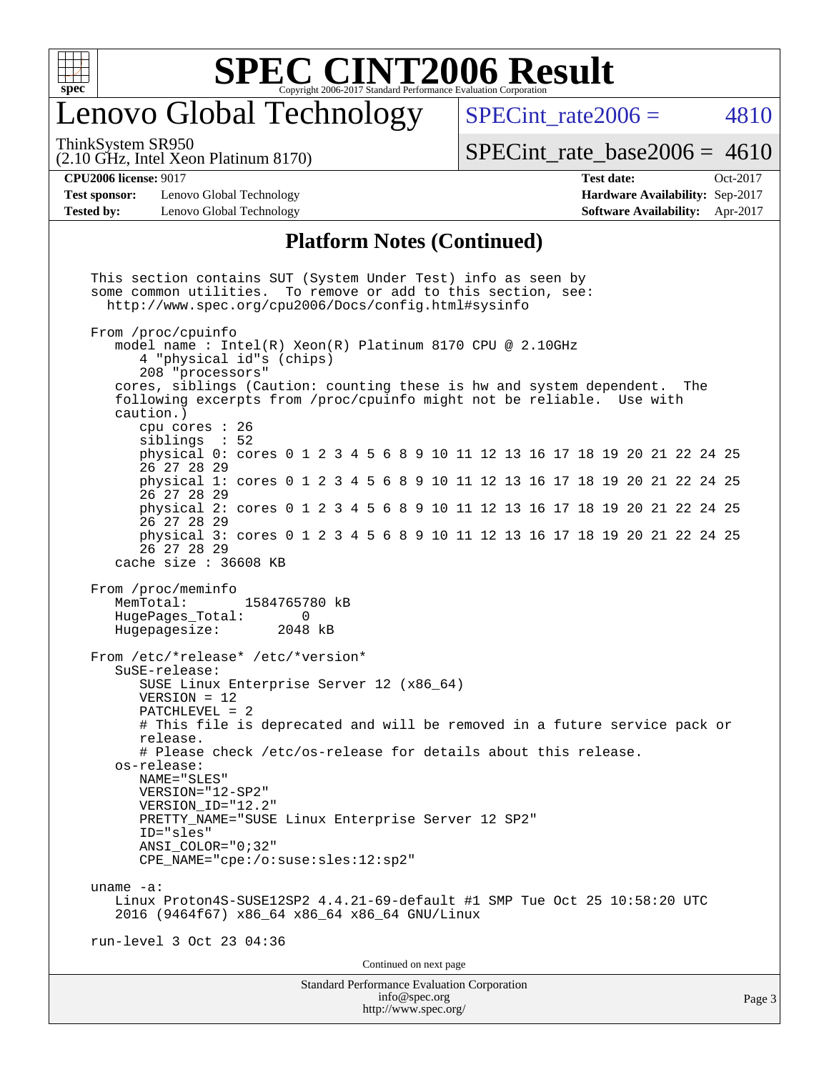

# enovo Global Technology

SPECint rate $2006 = 4810$ 

(2.10 GHz, Intel Xeon Platinum 8170) ThinkSystem SR950

 $SPECint_rate_base2006 = 4610$  $SPECint_rate_base2006 = 4610$ 

**[Test sponsor:](http://www.spec.org/auto/cpu2006/Docs/result-fields.html#Testsponsor)** Lenovo Global Technology **[Hardware Availability:](http://www.spec.org/auto/cpu2006/Docs/result-fields.html#HardwareAvailability)** Sep-2017 **[Tested by:](http://www.spec.org/auto/cpu2006/Docs/result-fields.html#Testedby)** Lenovo Global Technology **[Software Availability:](http://www.spec.org/auto/cpu2006/Docs/result-fields.html#SoftwareAvailability)** Apr-2017

**[CPU2006 license:](http://www.spec.org/auto/cpu2006/Docs/result-fields.html#CPU2006license)** 9017 **[Test date:](http://www.spec.org/auto/cpu2006/Docs/result-fields.html#Testdate)** Oct-2017

#### **[Platform Notes \(Continued\)](http://www.spec.org/auto/cpu2006/Docs/result-fields.html#PlatformNotes)**

Standard Performance Evaluation Corporation [info@spec.org](mailto:info@spec.org) <http://www.spec.org/> Page 3 This section contains SUT (System Under Test) info as seen by some common utilities. To remove or add to this section, see: <http://www.spec.org/cpu2006/Docs/config.html#sysinfo> From /proc/cpuinfo model name : Intel(R) Xeon(R) Platinum 8170 CPU @ 2.10GHz 4 "physical id"s (chips) 208 "processors" cores, siblings (Caution: counting these is hw and system dependent. The following excerpts from /proc/cpuinfo might not be reliable. Use with caution.) cpu cores : 26 siblings : 52 physical 0: cores 0 1 2 3 4 5 6 8 9 10 11 12 13 16 17 18 19 20 21 22 24 25 26 27 28 29 physical 1: cores 0 1 2 3 4 5 6 8 9 10 11 12 13 16 17 18 19 20 21 22 24 25 26 27 28 29 physical 2: cores 0 1 2 3 4 5 6 8 9 10 11 12 13 16 17 18 19 20 21 22 24 25 26 27 28 29 physical 3: cores 0 1 2 3 4 5 6 8 9 10 11 12 13 16 17 18 19 20 21 22 24 25 26 27 28 29 cache size : 36608 KB From /proc/meminfo<br>MemTotal: 1584765780 kB HugePages\_Total: 0<br>Hugepagesize: 2048 kB Hugepagesize: From /etc/\*release\* /etc/\*version\* SuSE-release: SUSE Linux Enterprise Server 12 (x86\_64) VERSION = 12 PATCHLEVEL = 2 # This file is deprecated and will be removed in a future service pack or release. # Please check /etc/os-release for details about this release. os-release: NAME="SLES" VERSION="12-SP2" VERSION\_ID="12.2" PRETTY\_NAME="SUSE Linux Enterprise Server 12 SP2" ID="sles" ANSI\_COLOR="0;32" CPE\_NAME="cpe:/o:suse:sles:12:sp2" uname -a: Linux Proton4S-SUSE12SP2 4.4.21-69-default #1 SMP Tue Oct 25 10:58:20 UTC 2016 (9464f67) x86\_64 x86\_64 x86\_64 GNU/Linux run-level 3 Oct 23 04:36 Continued on next page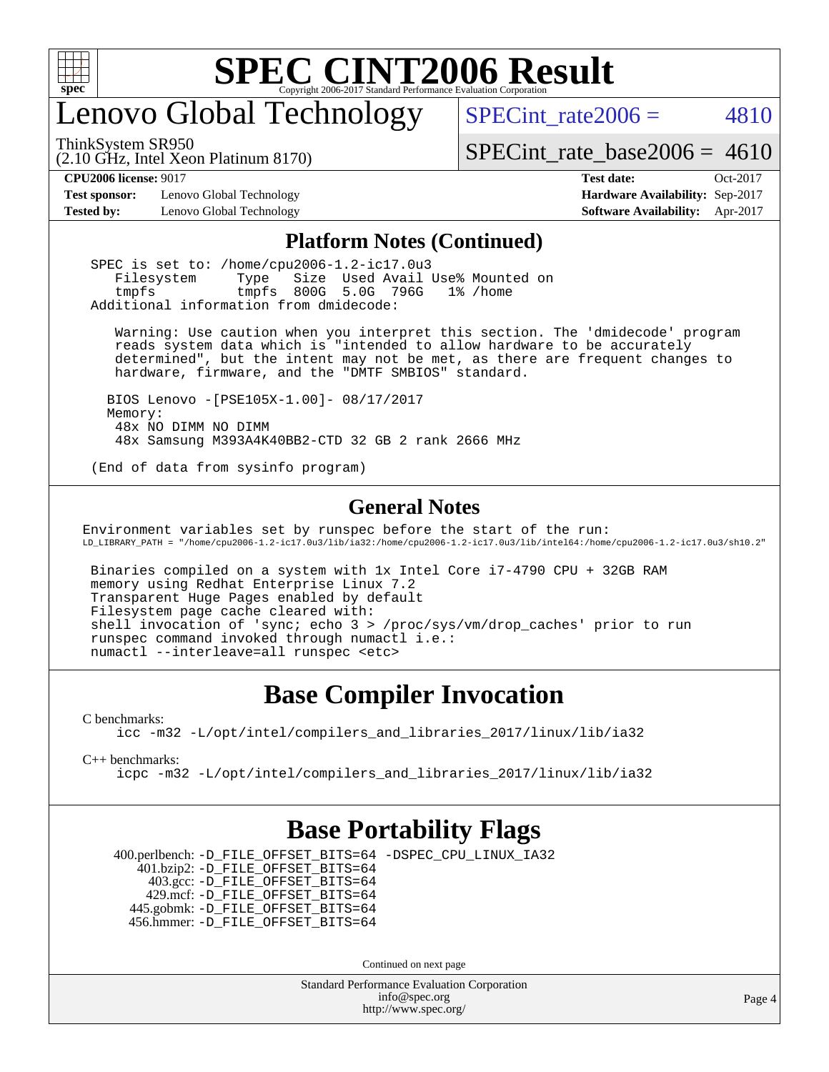

# enovo Global Technology

SPECint rate $2006 = 4810$ 

(2.10 GHz, Intel Xeon Platinum 8170) ThinkSystem SR950

 $SPECTnt_rate_base2006 = 4610$ 

**[Test sponsor:](http://www.spec.org/auto/cpu2006/Docs/result-fields.html#Testsponsor)** Lenovo Global Technology **[Hardware Availability:](http://www.spec.org/auto/cpu2006/Docs/result-fields.html#HardwareAvailability)** Sep-2017

**[CPU2006 license:](http://www.spec.org/auto/cpu2006/Docs/result-fields.html#CPU2006license)** 9017 **[Test date:](http://www.spec.org/auto/cpu2006/Docs/result-fields.html#Testdate)** Oct-2017 **[Tested by:](http://www.spec.org/auto/cpu2006/Docs/result-fields.html#Testedby)** Lenovo Global Technology **[Software Availability:](http://www.spec.org/auto/cpu2006/Docs/result-fields.html#SoftwareAvailability)** Apr-2017

#### **[Platform Notes \(Continued\)](http://www.spec.org/auto/cpu2006/Docs/result-fields.html#PlatformNotes)**

 SPEC is set to: /home/cpu2006-1.2-ic17.0u3 Filesystem Type Size Used Avail Use% Mounted on tmpfs tmpfs 800G 5.0G 796G 1% /home Additional information from dmidecode:

 Warning: Use caution when you interpret this section. The 'dmidecode' program reads system data which is "intended to allow hardware to be accurately determined", but the intent may not be met, as there are frequent changes to hardware, firmware, and the "DMTF SMBIOS" standard.

 BIOS Lenovo -[PSE105X-1.00]- 08/17/2017 Memory: 48x NO DIMM NO DIMM 48x Samsung M393A4K40BB2-CTD 32 GB 2 rank 2666 MHz

(End of data from sysinfo program)

#### **[General Notes](http://www.spec.org/auto/cpu2006/Docs/result-fields.html#GeneralNotes)**

Environment variables set by runspec before the start of the run: LD\_LIBRARY\_PATH = "/home/cpu2006-1.2-ic17.0u3/lib/ia32:/home/cpu2006-1.2-ic17.0u3/lib/intel64:/home/cpu2006-1.2-ic17.0u3/sh10.2"

 Binaries compiled on a system with 1x Intel Core i7-4790 CPU + 32GB RAM memory using Redhat Enterprise Linux 7.2 Transparent Huge Pages enabled by default Filesystem page cache cleared with: shell invocation of 'sync; echo 3 > /proc/sys/vm/drop\_caches' prior to run runspec command invoked through numactl i.e.: numactl --interleave=all runspec <etc>

### **[Base Compiler Invocation](http://www.spec.org/auto/cpu2006/Docs/result-fields.html#BaseCompilerInvocation)**

[C benchmarks](http://www.spec.org/auto/cpu2006/Docs/result-fields.html#Cbenchmarks):

[icc -m32 -L/opt/intel/compilers\\_and\\_libraries\\_2017/linux/lib/ia32](http://www.spec.org/cpu2006/results/res2017q4/cpu2006-20171031-50397.flags.html#user_CCbase_intel_icc_c29f3ff5a7ed067b11e4ec10a03f03ae)

[C++ benchmarks:](http://www.spec.org/auto/cpu2006/Docs/result-fields.html#CXXbenchmarks)

[icpc -m32 -L/opt/intel/compilers\\_and\\_libraries\\_2017/linux/lib/ia32](http://www.spec.org/cpu2006/results/res2017q4/cpu2006-20171031-50397.flags.html#user_CXXbase_intel_icpc_8c35c7808b62dab9ae41a1aa06361b6b)

### **[Base Portability Flags](http://www.spec.org/auto/cpu2006/Docs/result-fields.html#BasePortabilityFlags)**

 400.perlbench: [-D\\_FILE\\_OFFSET\\_BITS=64](http://www.spec.org/cpu2006/results/res2017q4/cpu2006-20171031-50397.flags.html#user_basePORTABILITY400_perlbench_file_offset_bits_64_438cf9856305ebd76870a2c6dc2689ab) [-DSPEC\\_CPU\\_LINUX\\_IA32](http://www.spec.org/cpu2006/results/res2017q4/cpu2006-20171031-50397.flags.html#b400.perlbench_baseCPORTABILITY_DSPEC_CPU_LINUX_IA32) 401.bzip2: [-D\\_FILE\\_OFFSET\\_BITS=64](http://www.spec.org/cpu2006/results/res2017q4/cpu2006-20171031-50397.flags.html#user_basePORTABILITY401_bzip2_file_offset_bits_64_438cf9856305ebd76870a2c6dc2689ab) 403.gcc: [-D\\_FILE\\_OFFSET\\_BITS=64](http://www.spec.org/cpu2006/results/res2017q4/cpu2006-20171031-50397.flags.html#user_basePORTABILITY403_gcc_file_offset_bits_64_438cf9856305ebd76870a2c6dc2689ab) 429.mcf: [-D\\_FILE\\_OFFSET\\_BITS=64](http://www.spec.org/cpu2006/results/res2017q4/cpu2006-20171031-50397.flags.html#user_basePORTABILITY429_mcf_file_offset_bits_64_438cf9856305ebd76870a2c6dc2689ab) 445.gobmk: [-D\\_FILE\\_OFFSET\\_BITS=64](http://www.spec.org/cpu2006/results/res2017q4/cpu2006-20171031-50397.flags.html#user_basePORTABILITY445_gobmk_file_offset_bits_64_438cf9856305ebd76870a2c6dc2689ab) 456.hmmer: [-D\\_FILE\\_OFFSET\\_BITS=64](http://www.spec.org/cpu2006/results/res2017q4/cpu2006-20171031-50397.flags.html#user_basePORTABILITY456_hmmer_file_offset_bits_64_438cf9856305ebd76870a2c6dc2689ab)

Continued on next page

Standard Performance Evaluation Corporation [info@spec.org](mailto:info@spec.org) <http://www.spec.org/>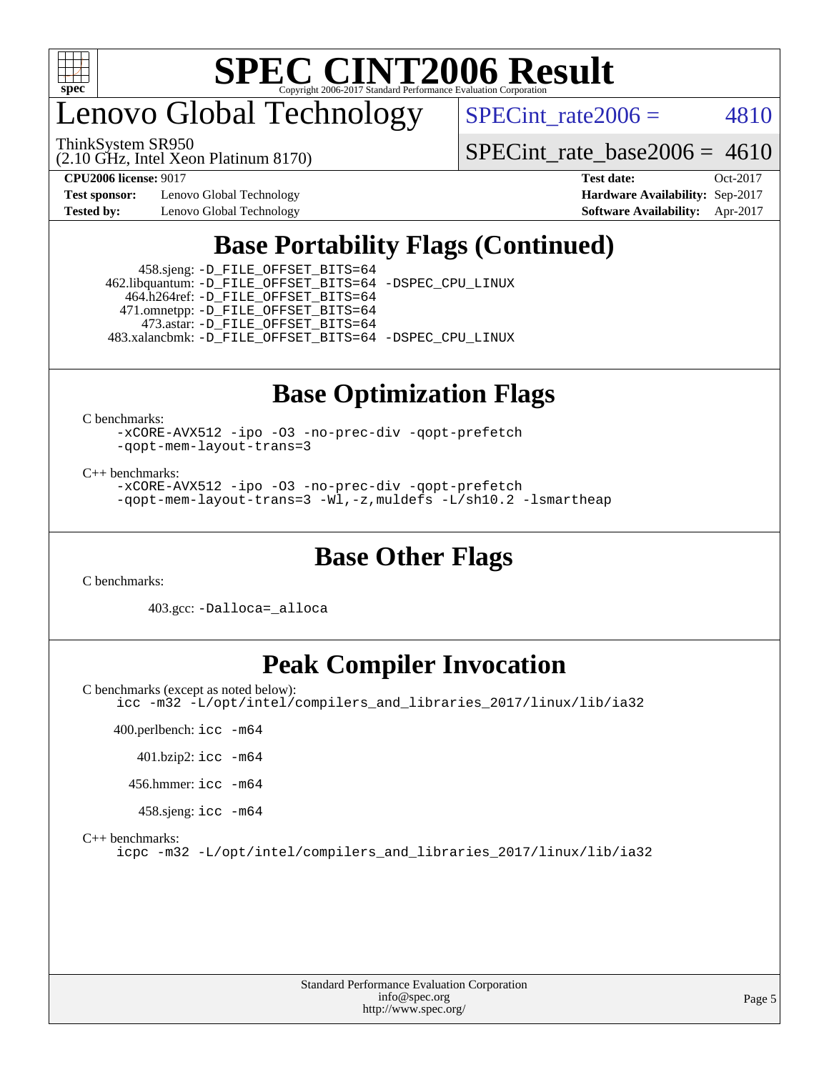

enovo Global Technology

SPECint rate $2006 = 4810$ 

(2.10 GHz, Intel Xeon Platinum 8170) ThinkSystem SR950

 $SPECTnt_rate_base2006 = 4610$ 

**[Test sponsor:](http://www.spec.org/auto/cpu2006/Docs/result-fields.html#Testsponsor)** Lenovo Global Technology **[Hardware Availability:](http://www.spec.org/auto/cpu2006/Docs/result-fields.html#HardwareAvailability)** Sep-2017

**[CPU2006 license:](http://www.spec.org/auto/cpu2006/Docs/result-fields.html#CPU2006license)** 9017 **[Test date:](http://www.spec.org/auto/cpu2006/Docs/result-fields.html#Testdate)** Oct-2017 **[Tested by:](http://www.spec.org/auto/cpu2006/Docs/result-fields.html#Testedby)** Lenovo Global Technology **[Software Availability:](http://www.spec.org/auto/cpu2006/Docs/result-fields.html#SoftwareAvailability)** Apr-2017

# **[Base Portability Flags \(Continued\)](http://www.spec.org/auto/cpu2006/Docs/result-fields.html#BasePortabilityFlags)**

 458.sjeng: [-D\\_FILE\\_OFFSET\\_BITS=64](http://www.spec.org/cpu2006/results/res2017q4/cpu2006-20171031-50397.flags.html#user_basePORTABILITY458_sjeng_file_offset_bits_64_438cf9856305ebd76870a2c6dc2689ab) 462.libquantum: [-D\\_FILE\\_OFFSET\\_BITS=64](http://www.spec.org/cpu2006/results/res2017q4/cpu2006-20171031-50397.flags.html#user_basePORTABILITY462_libquantum_file_offset_bits_64_438cf9856305ebd76870a2c6dc2689ab) [-DSPEC\\_CPU\\_LINUX](http://www.spec.org/cpu2006/results/res2017q4/cpu2006-20171031-50397.flags.html#b462.libquantum_baseCPORTABILITY_DSPEC_CPU_LINUX) 464.h264ref: [-D\\_FILE\\_OFFSET\\_BITS=64](http://www.spec.org/cpu2006/results/res2017q4/cpu2006-20171031-50397.flags.html#user_basePORTABILITY464_h264ref_file_offset_bits_64_438cf9856305ebd76870a2c6dc2689ab) 471.omnetpp: [-D\\_FILE\\_OFFSET\\_BITS=64](http://www.spec.org/cpu2006/results/res2017q4/cpu2006-20171031-50397.flags.html#user_basePORTABILITY471_omnetpp_file_offset_bits_64_438cf9856305ebd76870a2c6dc2689ab) 473.astar: [-D\\_FILE\\_OFFSET\\_BITS=64](http://www.spec.org/cpu2006/results/res2017q4/cpu2006-20171031-50397.flags.html#user_basePORTABILITY473_astar_file_offset_bits_64_438cf9856305ebd76870a2c6dc2689ab) 483.xalancbmk: [-D\\_FILE\\_OFFSET\\_BITS=64](http://www.spec.org/cpu2006/results/res2017q4/cpu2006-20171031-50397.flags.html#user_basePORTABILITY483_xalancbmk_file_offset_bits_64_438cf9856305ebd76870a2c6dc2689ab) [-DSPEC\\_CPU\\_LINUX](http://www.spec.org/cpu2006/results/res2017q4/cpu2006-20171031-50397.flags.html#b483.xalancbmk_baseCXXPORTABILITY_DSPEC_CPU_LINUX)

# **[Base Optimization Flags](http://www.spec.org/auto/cpu2006/Docs/result-fields.html#BaseOptimizationFlags)**

[C benchmarks](http://www.spec.org/auto/cpu2006/Docs/result-fields.html#Cbenchmarks):

[-xCORE-AVX512](http://www.spec.org/cpu2006/results/res2017q4/cpu2006-20171031-50397.flags.html#user_CCbase_f-xCORE-AVX512) [-ipo](http://www.spec.org/cpu2006/results/res2017q4/cpu2006-20171031-50397.flags.html#user_CCbase_f-ipo) [-O3](http://www.spec.org/cpu2006/results/res2017q4/cpu2006-20171031-50397.flags.html#user_CCbase_f-O3) [-no-prec-div](http://www.spec.org/cpu2006/results/res2017q4/cpu2006-20171031-50397.flags.html#user_CCbase_f-no-prec-div) [-qopt-prefetch](http://www.spec.org/cpu2006/results/res2017q4/cpu2006-20171031-50397.flags.html#user_CCbase_f-qopt-prefetch) [-qopt-mem-layout-trans=3](http://www.spec.org/cpu2006/results/res2017q4/cpu2006-20171031-50397.flags.html#user_CCbase_f-qopt-mem-layout-trans_170f5be61cd2cedc9b54468c59262d5d)

[C++ benchmarks:](http://www.spec.org/auto/cpu2006/Docs/result-fields.html#CXXbenchmarks)

[-xCORE-AVX512](http://www.spec.org/cpu2006/results/res2017q4/cpu2006-20171031-50397.flags.html#user_CXXbase_f-xCORE-AVX512) [-ipo](http://www.spec.org/cpu2006/results/res2017q4/cpu2006-20171031-50397.flags.html#user_CXXbase_f-ipo) [-O3](http://www.spec.org/cpu2006/results/res2017q4/cpu2006-20171031-50397.flags.html#user_CXXbase_f-O3) [-no-prec-div](http://www.spec.org/cpu2006/results/res2017q4/cpu2006-20171031-50397.flags.html#user_CXXbase_f-no-prec-div) [-qopt-prefetch](http://www.spec.org/cpu2006/results/res2017q4/cpu2006-20171031-50397.flags.html#user_CXXbase_f-qopt-prefetch) [-qopt-mem-layout-trans=3](http://www.spec.org/cpu2006/results/res2017q4/cpu2006-20171031-50397.flags.html#user_CXXbase_f-qopt-mem-layout-trans_170f5be61cd2cedc9b54468c59262d5d) [-Wl,-z,muldefs](http://www.spec.org/cpu2006/results/res2017q4/cpu2006-20171031-50397.flags.html#user_CXXbase_link_force_multiple1_74079c344b956b9658436fd1b6dd3a8a) [-L/sh10.2 -lsmartheap](http://www.spec.org/cpu2006/results/res2017q4/cpu2006-20171031-50397.flags.html#user_CXXbase_SmartHeap_b831f2d313e2fffa6dfe3f00ffc1f1c0)

## **[Base Other Flags](http://www.spec.org/auto/cpu2006/Docs/result-fields.html#BaseOtherFlags)**

[C benchmarks](http://www.spec.org/auto/cpu2006/Docs/result-fields.html#Cbenchmarks):

403.gcc: [-Dalloca=\\_alloca](http://www.spec.org/cpu2006/results/res2017q4/cpu2006-20171031-50397.flags.html#b403.gcc_baseEXTRA_CFLAGS_Dalloca_be3056838c12de2578596ca5467af7f3)

# **[Peak Compiler Invocation](http://www.spec.org/auto/cpu2006/Docs/result-fields.html#PeakCompilerInvocation)**

[C benchmarks \(except as noted below\)](http://www.spec.org/auto/cpu2006/Docs/result-fields.html#Cbenchmarksexceptasnotedbelow): [icc -m32 -L/opt/intel/compilers\\_and\\_libraries\\_2017/linux/lib/ia32](http://www.spec.org/cpu2006/results/res2017q4/cpu2006-20171031-50397.flags.html#user_CCpeak_intel_icc_c29f3ff5a7ed067b11e4ec10a03f03ae)

 400.perlbench: [icc -m64](http://www.spec.org/cpu2006/results/res2017q4/cpu2006-20171031-50397.flags.html#user_peakCCLD400_perlbench_intel_icc_64bit_bda6cc9af1fdbb0edc3795bac97ada53) 401.bzip2: [icc -m64](http://www.spec.org/cpu2006/results/res2017q4/cpu2006-20171031-50397.flags.html#user_peakCCLD401_bzip2_intel_icc_64bit_bda6cc9af1fdbb0edc3795bac97ada53) 456.hmmer: [icc -m64](http://www.spec.org/cpu2006/results/res2017q4/cpu2006-20171031-50397.flags.html#user_peakCCLD456_hmmer_intel_icc_64bit_bda6cc9af1fdbb0edc3795bac97ada53) 458.sjeng: [icc -m64](http://www.spec.org/cpu2006/results/res2017q4/cpu2006-20171031-50397.flags.html#user_peakCCLD458_sjeng_intel_icc_64bit_bda6cc9af1fdbb0edc3795bac97ada53)

[C++ benchmarks:](http://www.spec.org/auto/cpu2006/Docs/result-fields.html#CXXbenchmarks)

[icpc -m32 -L/opt/intel/compilers\\_and\\_libraries\\_2017/linux/lib/ia32](http://www.spec.org/cpu2006/results/res2017q4/cpu2006-20171031-50397.flags.html#user_CXXpeak_intel_icpc_8c35c7808b62dab9ae41a1aa06361b6b)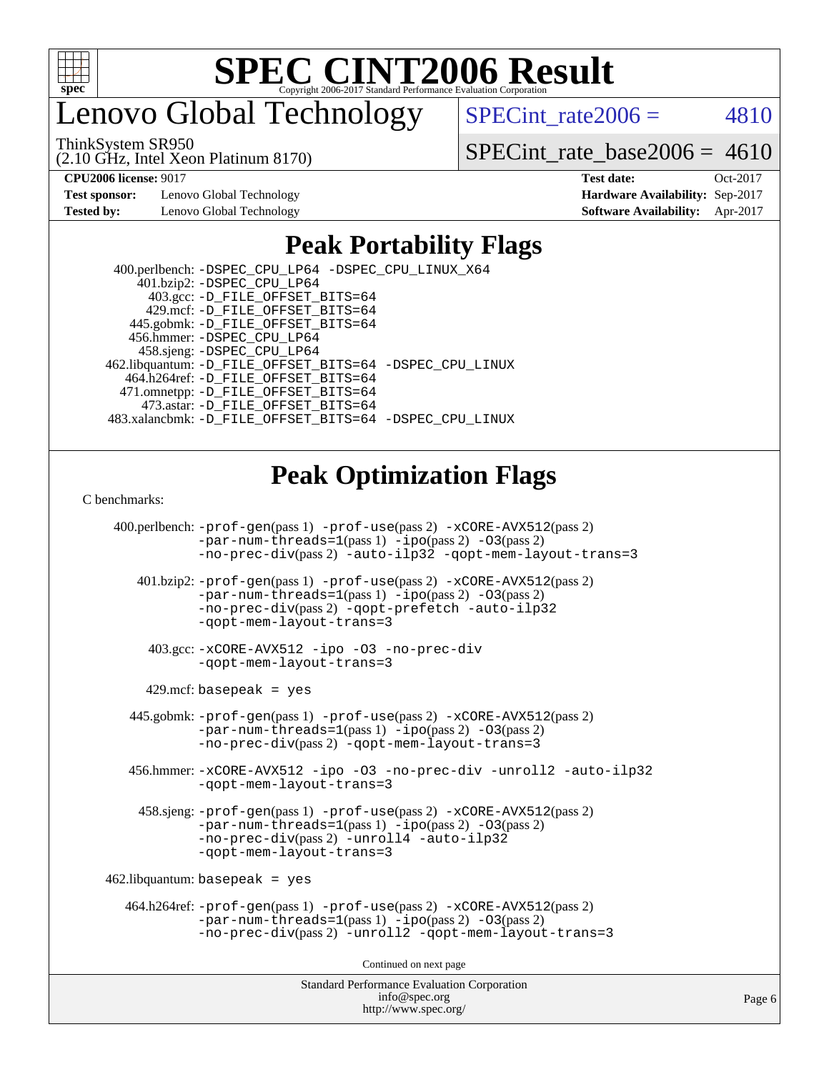

enovo Global Technology

SPECint rate $2006 = 4810$ 

ThinkSystem SR950

(2.10 GHz, Intel Xeon Platinum 8170)

 $SPECTnt_rate_base2006 = 4610$ 

**[Test sponsor:](http://www.spec.org/auto/cpu2006/Docs/result-fields.html#Testsponsor)** Lenovo Global Technology **[Hardware Availability:](http://www.spec.org/auto/cpu2006/Docs/result-fields.html#HardwareAvailability)** Sep-2017

**[CPU2006 license:](http://www.spec.org/auto/cpu2006/Docs/result-fields.html#CPU2006license)** 9017 **[Test date:](http://www.spec.org/auto/cpu2006/Docs/result-fields.html#Testdate)** Oct-2017 **[Tested by:](http://www.spec.org/auto/cpu2006/Docs/result-fields.html#Testedby)** Lenovo Global Technology **[Software Availability:](http://www.spec.org/auto/cpu2006/Docs/result-fields.html#SoftwareAvailability)** Apr-2017

## **[Peak Portability Flags](http://www.spec.org/auto/cpu2006/Docs/result-fields.html#PeakPortabilityFlags)**

 400.perlbench: [-DSPEC\\_CPU\\_LP64](http://www.spec.org/cpu2006/results/res2017q4/cpu2006-20171031-50397.flags.html#b400.perlbench_peakCPORTABILITY_DSPEC_CPU_LP64) [-DSPEC\\_CPU\\_LINUX\\_X64](http://www.spec.org/cpu2006/results/res2017q4/cpu2006-20171031-50397.flags.html#b400.perlbench_peakCPORTABILITY_DSPEC_CPU_LINUX_X64) 401.bzip2: [-DSPEC\\_CPU\\_LP64](http://www.spec.org/cpu2006/results/res2017q4/cpu2006-20171031-50397.flags.html#suite_peakCPORTABILITY401_bzip2_DSPEC_CPU_LP64) 403.gcc: [-D\\_FILE\\_OFFSET\\_BITS=64](http://www.spec.org/cpu2006/results/res2017q4/cpu2006-20171031-50397.flags.html#user_peakPORTABILITY403_gcc_file_offset_bits_64_438cf9856305ebd76870a2c6dc2689ab) 429.mcf: [-D\\_FILE\\_OFFSET\\_BITS=64](http://www.spec.org/cpu2006/results/res2017q4/cpu2006-20171031-50397.flags.html#user_peakPORTABILITY429_mcf_file_offset_bits_64_438cf9856305ebd76870a2c6dc2689ab) 445.gobmk: [-D\\_FILE\\_OFFSET\\_BITS=64](http://www.spec.org/cpu2006/results/res2017q4/cpu2006-20171031-50397.flags.html#user_peakPORTABILITY445_gobmk_file_offset_bits_64_438cf9856305ebd76870a2c6dc2689ab) 456.hmmer: [-DSPEC\\_CPU\\_LP64](http://www.spec.org/cpu2006/results/res2017q4/cpu2006-20171031-50397.flags.html#suite_peakCPORTABILITY456_hmmer_DSPEC_CPU_LP64) 458.sjeng: [-DSPEC\\_CPU\\_LP64](http://www.spec.org/cpu2006/results/res2017q4/cpu2006-20171031-50397.flags.html#suite_peakCPORTABILITY458_sjeng_DSPEC_CPU_LP64) 462.libquantum: [-D\\_FILE\\_OFFSET\\_BITS=64](http://www.spec.org/cpu2006/results/res2017q4/cpu2006-20171031-50397.flags.html#user_peakPORTABILITY462_libquantum_file_offset_bits_64_438cf9856305ebd76870a2c6dc2689ab) [-DSPEC\\_CPU\\_LINUX](http://www.spec.org/cpu2006/results/res2017q4/cpu2006-20171031-50397.flags.html#b462.libquantum_peakCPORTABILITY_DSPEC_CPU_LINUX) 464.h264ref: [-D\\_FILE\\_OFFSET\\_BITS=64](http://www.spec.org/cpu2006/results/res2017q4/cpu2006-20171031-50397.flags.html#user_peakPORTABILITY464_h264ref_file_offset_bits_64_438cf9856305ebd76870a2c6dc2689ab) 471.omnetpp: [-D\\_FILE\\_OFFSET\\_BITS=64](http://www.spec.org/cpu2006/results/res2017q4/cpu2006-20171031-50397.flags.html#user_peakPORTABILITY471_omnetpp_file_offset_bits_64_438cf9856305ebd76870a2c6dc2689ab) 473.astar: [-D\\_FILE\\_OFFSET\\_BITS=64](http://www.spec.org/cpu2006/results/res2017q4/cpu2006-20171031-50397.flags.html#user_peakPORTABILITY473_astar_file_offset_bits_64_438cf9856305ebd76870a2c6dc2689ab) 483.xalancbmk: [-D\\_FILE\\_OFFSET\\_BITS=64](http://www.spec.org/cpu2006/results/res2017q4/cpu2006-20171031-50397.flags.html#user_peakPORTABILITY483_xalancbmk_file_offset_bits_64_438cf9856305ebd76870a2c6dc2689ab) [-DSPEC\\_CPU\\_LINUX](http://www.spec.org/cpu2006/results/res2017q4/cpu2006-20171031-50397.flags.html#b483.xalancbmk_peakCXXPORTABILITY_DSPEC_CPU_LINUX)

## **[Peak Optimization Flags](http://www.spec.org/auto/cpu2006/Docs/result-fields.html#PeakOptimizationFlags)**

[C benchmarks](http://www.spec.org/auto/cpu2006/Docs/result-fields.html#Cbenchmarks):

Standard Performance Evaluation Corporation 400.perlbench: [-prof-gen](http://www.spec.org/cpu2006/results/res2017q4/cpu2006-20171031-50397.flags.html#user_peakPASS1_CFLAGSPASS1_LDCFLAGS400_perlbench_prof_gen_e43856698f6ca7b7e442dfd80e94a8fc)(pass 1) [-prof-use](http://www.spec.org/cpu2006/results/res2017q4/cpu2006-20171031-50397.flags.html#user_peakPASS2_CFLAGSPASS2_LDCFLAGS400_perlbench_prof_use_bccf7792157ff70d64e32fe3e1250b55)(pass 2) [-xCORE-AVX512](http://www.spec.org/cpu2006/results/res2017q4/cpu2006-20171031-50397.flags.html#user_peakPASS2_CFLAGSPASS2_LDCFLAGS400_perlbench_f-xCORE-AVX512)(pass 2) [-par-num-threads=1](http://www.spec.org/cpu2006/results/res2017q4/cpu2006-20171031-50397.flags.html#user_peakPASS1_CFLAGSPASS1_LDCFLAGS400_perlbench_par_num_threads_786a6ff141b4e9e90432e998842df6c2)(pass 1) [-ipo](http://www.spec.org/cpu2006/results/res2017q4/cpu2006-20171031-50397.flags.html#user_peakPASS2_CFLAGSPASS2_LDCFLAGS400_perlbench_f-ipo)(pass 2) [-O3](http://www.spec.org/cpu2006/results/res2017q4/cpu2006-20171031-50397.flags.html#user_peakPASS2_CFLAGSPASS2_LDCFLAGS400_perlbench_f-O3)(pass 2) [-no-prec-div](http://www.spec.org/cpu2006/results/res2017q4/cpu2006-20171031-50397.flags.html#user_peakPASS2_CFLAGSPASS2_LDCFLAGS400_perlbench_f-no-prec-div)(pass 2) [-auto-ilp32](http://www.spec.org/cpu2006/results/res2017q4/cpu2006-20171031-50397.flags.html#user_peakCOPTIMIZE400_perlbench_f-auto-ilp32) [-qopt-mem-layout-trans=3](http://www.spec.org/cpu2006/results/res2017q4/cpu2006-20171031-50397.flags.html#user_peakCOPTIMIZE400_perlbench_f-qopt-mem-layout-trans_170f5be61cd2cedc9b54468c59262d5d) 401.bzip2: [-prof-gen](http://www.spec.org/cpu2006/results/res2017q4/cpu2006-20171031-50397.flags.html#user_peakPASS1_CFLAGSPASS1_LDCFLAGS401_bzip2_prof_gen_e43856698f6ca7b7e442dfd80e94a8fc)(pass 1) [-prof-use](http://www.spec.org/cpu2006/results/res2017q4/cpu2006-20171031-50397.flags.html#user_peakPASS2_CFLAGSPASS2_LDCFLAGS401_bzip2_prof_use_bccf7792157ff70d64e32fe3e1250b55)(pass 2) [-xCORE-AVX512](http://www.spec.org/cpu2006/results/res2017q4/cpu2006-20171031-50397.flags.html#user_peakPASS2_CFLAGSPASS2_LDCFLAGS401_bzip2_f-xCORE-AVX512)(pass 2) [-par-num-threads=1](http://www.spec.org/cpu2006/results/res2017q4/cpu2006-20171031-50397.flags.html#user_peakPASS1_CFLAGSPASS1_LDCFLAGS401_bzip2_par_num_threads_786a6ff141b4e9e90432e998842df6c2)(pass 1) [-ipo](http://www.spec.org/cpu2006/results/res2017q4/cpu2006-20171031-50397.flags.html#user_peakPASS2_CFLAGSPASS2_LDCFLAGS401_bzip2_f-ipo)(pass 2) [-O3](http://www.spec.org/cpu2006/results/res2017q4/cpu2006-20171031-50397.flags.html#user_peakPASS2_CFLAGSPASS2_LDCFLAGS401_bzip2_f-O3)(pass 2) [-no-prec-div](http://www.spec.org/cpu2006/results/res2017q4/cpu2006-20171031-50397.flags.html#user_peakPASS2_CFLAGSPASS2_LDCFLAGS401_bzip2_f-no-prec-div)(pass 2) [-qopt-prefetch](http://www.spec.org/cpu2006/results/res2017q4/cpu2006-20171031-50397.flags.html#user_peakCOPTIMIZE401_bzip2_f-qopt-prefetch) [-auto-ilp32](http://www.spec.org/cpu2006/results/res2017q4/cpu2006-20171031-50397.flags.html#user_peakCOPTIMIZE401_bzip2_f-auto-ilp32) [-qopt-mem-layout-trans=3](http://www.spec.org/cpu2006/results/res2017q4/cpu2006-20171031-50397.flags.html#user_peakCOPTIMIZE401_bzip2_f-qopt-mem-layout-trans_170f5be61cd2cedc9b54468c59262d5d) 403.gcc: [-xCORE-AVX512](http://www.spec.org/cpu2006/results/res2017q4/cpu2006-20171031-50397.flags.html#user_peakOPTIMIZE403_gcc_f-xCORE-AVX512) [-ipo](http://www.spec.org/cpu2006/results/res2017q4/cpu2006-20171031-50397.flags.html#user_peakOPTIMIZE403_gcc_f-ipo) [-O3](http://www.spec.org/cpu2006/results/res2017q4/cpu2006-20171031-50397.flags.html#user_peakOPTIMIZE403_gcc_f-O3) [-no-prec-div](http://www.spec.org/cpu2006/results/res2017q4/cpu2006-20171031-50397.flags.html#user_peakOPTIMIZE403_gcc_f-no-prec-div) [-qopt-mem-layout-trans=3](http://www.spec.org/cpu2006/results/res2017q4/cpu2006-20171031-50397.flags.html#user_peakCOPTIMIZE403_gcc_f-qopt-mem-layout-trans_170f5be61cd2cedc9b54468c59262d5d)  $429$ .mcf: basepeak = yes 445.gobmk: [-prof-gen](http://www.spec.org/cpu2006/results/res2017q4/cpu2006-20171031-50397.flags.html#user_peakPASS1_CFLAGSPASS1_LDCFLAGS445_gobmk_prof_gen_e43856698f6ca7b7e442dfd80e94a8fc)(pass 1) [-prof-use](http://www.spec.org/cpu2006/results/res2017q4/cpu2006-20171031-50397.flags.html#user_peakPASS2_CFLAGSPASS2_LDCFLAGSPASS2_LDFLAGS445_gobmk_prof_use_bccf7792157ff70d64e32fe3e1250b55)(pass 2) [-xCORE-AVX512](http://www.spec.org/cpu2006/results/res2017q4/cpu2006-20171031-50397.flags.html#user_peakPASS2_CFLAGSPASS2_LDCFLAGSPASS2_LDFLAGS445_gobmk_f-xCORE-AVX512)(pass 2) [-par-num-threads=1](http://www.spec.org/cpu2006/results/res2017q4/cpu2006-20171031-50397.flags.html#user_peakPASS1_CFLAGSPASS1_LDCFLAGS445_gobmk_par_num_threads_786a6ff141b4e9e90432e998842df6c2)(pass 1) [-ipo](http://www.spec.org/cpu2006/results/res2017q4/cpu2006-20171031-50397.flags.html#user_peakPASS2_LDCFLAGS445_gobmk_f-ipo)(pass 2) [-O3](http://www.spec.org/cpu2006/results/res2017q4/cpu2006-20171031-50397.flags.html#user_peakPASS2_LDCFLAGS445_gobmk_f-O3)(pass 2) [-no-prec-div](http://www.spec.org/cpu2006/results/res2017q4/cpu2006-20171031-50397.flags.html#user_peakPASS2_LDCFLAGS445_gobmk_f-no-prec-div)(pass 2) [-qopt-mem-layout-trans=3](http://www.spec.org/cpu2006/results/res2017q4/cpu2006-20171031-50397.flags.html#user_peakCOPTIMIZE445_gobmk_f-qopt-mem-layout-trans_170f5be61cd2cedc9b54468c59262d5d) 456.hmmer: [-xCORE-AVX512](http://www.spec.org/cpu2006/results/res2017q4/cpu2006-20171031-50397.flags.html#user_peakOPTIMIZE456_hmmer_f-xCORE-AVX512) [-ipo](http://www.spec.org/cpu2006/results/res2017q4/cpu2006-20171031-50397.flags.html#user_peakOPTIMIZE456_hmmer_f-ipo) [-O3](http://www.spec.org/cpu2006/results/res2017q4/cpu2006-20171031-50397.flags.html#user_peakOPTIMIZE456_hmmer_f-O3) [-no-prec-div](http://www.spec.org/cpu2006/results/res2017q4/cpu2006-20171031-50397.flags.html#user_peakOPTIMIZE456_hmmer_f-no-prec-div) [-unroll2](http://www.spec.org/cpu2006/results/res2017q4/cpu2006-20171031-50397.flags.html#user_peakCOPTIMIZE456_hmmer_f-unroll_784dae83bebfb236979b41d2422d7ec2) [-auto-ilp32](http://www.spec.org/cpu2006/results/res2017q4/cpu2006-20171031-50397.flags.html#user_peakCOPTIMIZE456_hmmer_f-auto-ilp32) [-qopt-mem-layout-trans=3](http://www.spec.org/cpu2006/results/res2017q4/cpu2006-20171031-50397.flags.html#user_peakCOPTIMIZE456_hmmer_f-qopt-mem-layout-trans_170f5be61cd2cedc9b54468c59262d5d) 458.sjeng: [-prof-gen](http://www.spec.org/cpu2006/results/res2017q4/cpu2006-20171031-50397.flags.html#user_peakPASS1_CFLAGSPASS1_LDCFLAGS458_sjeng_prof_gen_e43856698f6ca7b7e442dfd80e94a8fc)(pass 1) [-prof-use](http://www.spec.org/cpu2006/results/res2017q4/cpu2006-20171031-50397.flags.html#user_peakPASS2_CFLAGSPASS2_LDCFLAGS458_sjeng_prof_use_bccf7792157ff70d64e32fe3e1250b55)(pass 2) [-xCORE-AVX512](http://www.spec.org/cpu2006/results/res2017q4/cpu2006-20171031-50397.flags.html#user_peakPASS2_CFLAGSPASS2_LDCFLAGS458_sjeng_f-xCORE-AVX512)(pass 2) [-par-num-threads=1](http://www.spec.org/cpu2006/results/res2017q4/cpu2006-20171031-50397.flags.html#user_peakPASS1_CFLAGSPASS1_LDCFLAGS458_sjeng_par_num_threads_786a6ff141b4e9e90432e998842df6c2)(pass 1) [-ipo](http://www.spec.org/cpu2006/results/res2017q4/cpu2006-20171031-50397.flags.html#user_peakPASS2_CFLAGSPASS2_LDCFLAGS458_sjeng_f-ipo)(pass 2) [-O3](http://www.spec.org/cpu2006/results/res2017q4/cpu2006-20171031-50397.flags.html#user_peakPASS2_CFLAGSPASS2_LDCFLAGS458_sjeng_f-O3)(pass 2) [-no-prec-div](http://www.spec.org/cpu2006/results/res2017q4/cpu2006-20171031-50397.flags.html#user_peakPASS2_CFLAGSPASS2_LDCFLAGS458_sjeng_f-no-prec-div)(pass 2) [-unroll4](http://www.spec.org/cpu2006/results/res2017q4/cpu2006-20171031-50397.flags.html#user_peakCOPTIMIZE458_sjeng_f-unroll_4e5e4ed65b7fd20bdcd365bec371b81f) [-auto-ilp32](http://www.spec.org/cpu2006/results/res2017q4/cpu2006-20171031-50397.flags.html#user_peakCOPTIMIZE458_sjeng_f-auto-ilp32) [-qopt-mem-layout-trans=3](http://www.spec.org/cpu2006/results/res2017q4/cpu2006-20171031-50397.flags.html#user_peakCOPTIMIZE458_sjeng_f-qopt-mem-layout-trans_170f5be61cd2cedc9b54468c59262d5d)  $462$ .libquantum: basepeak = yes 464.h264ref: [-prof-gen](http://www.spec.org/cpu2006/results/res2017q4/cpu2006-20171031-50397.flags.html#user_peakPASS1_CFLAGSPASS1_LDCFLAGS464_h264ref_prof_gen_e43856698f6ca7b7e442dfd80e94a8fc)(pass 1) [-prof-use](http://www.spec.org/cpu2006/results/res2017q4/cpu2006-20171031-50397.flags.html#user_peakPASS2_CFLAGSPASS2_LDCFLAGS464_h264ref_prof_use_bccf7792157ff70d64e32fe3e1250b55)(pass 2) [-xCORE-AVX512](http://www.spec.org/cpu2006/results/res2017q4/cpu2006-20171031-50397.flags.html#user_peakPASS2_CFLAGSPASS2_LDCFLAGS464_h264ref_f-xCORE-AVX512)(pass 2)  $-par-num-threads=1(pass 1) -ipo(pass 2) -O3(pass 2)$  $-par-num-threads=1(pass 1) -ipo(pass 2) -O3(pass 2)$  $-par-num-threads=1(pass 1) -ipo(pass 2) -O3(pass 2)$  $-par-num-threads=1(pass 1) -ipo(pass 2) -O3(pass 2)$  $-par-num-threads=1(pass 1) -ipo(pass 2) -O3(pass 2)$  $-par-num-threads=1(pass 1) -ipo(pass 2) -O3(pass 2)$ [-no-prec-div](http://www.spec.org/cpu2006/results/res2017q4/cpu2006-20171031-50397.flags.html#user_peakPASS2_CFLAGSPASS2_LDCFLAGS464_h264ref_f-no-prec-div)(pass 2) [-unroll2](http://www.spec.org/cpu2006/results/res2017q4/cpu2006-20171031-50397.flags.html#user_peakCOPTIMIZE464_h264ref_f-unroll_784dae83bebfb236979b41d2422d7ec2) [-qopt-mem-layout-trans=3](http://www.spec.org/cpu2006/results/res2017q4/cpu2006-20171031-50397.flags.html#user_peakCOPTIMIZE464_h264ref_f-qopt-mem-layout-trans_170f5be61cd2cedc9b54468c59262d5d) Continued on next page

[info@spec.org](mailto:info@spec.org) <http://www.spec.org/>